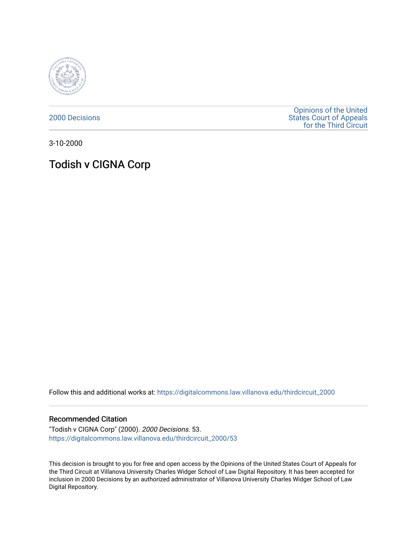

[2000 Decisions](https://digitalcommons.law.villanova.edu/thirdcircuit_2000)

[Opinions of the United](https://digitalcommons.law.villanova.edu/thirdcircuit)  [States Court of Appeals](https://digitalcommons.law.villanova.edu/thirdcircuit)  [for the Third Circuit](https://digitalcommons.law.villanova.edu/thirdcircuit) 

3-10-2000

## Todish v CIGNA Corp

Follow this and additional works at: [https://digitalcommons.law.villanova.edu/thirdcircuit\\_2000](https://digitalcommons.law.villanova.edu/thirdcircuit_2000?utm_source=digitalcommons.law.villanova.edu%2Fthirdcircuit_2000%2F53&utm_medium=PDF&utm_campaign=PDFCoverPages) 

## Recommended Citation

"Todish v CIGNA Corp" (2000). 2000 Decisions. 53. [https://digitalcommons.law.villanova.edu/thirdcircuit\\_2000/53](https://digitalcommons.law.villanova.edu/thirdcircuit_2000/53?utm_source=digitalcommons.law.villanova.edu%2Fthirdcircuit_2000%2F53&utm_medium=PDF&utm_campaign=PDFCoverPages)

This decision is brought to you for free and open access by the Opinions of the United States Court of Appeals for the Third Circuit at Villanova University Charles Widger School of Law Digital Repository. It has been accepted for inclusion in 2000 Decisions by an authorized administrator of Villanova University Charles Widger School of Law Digital Repository.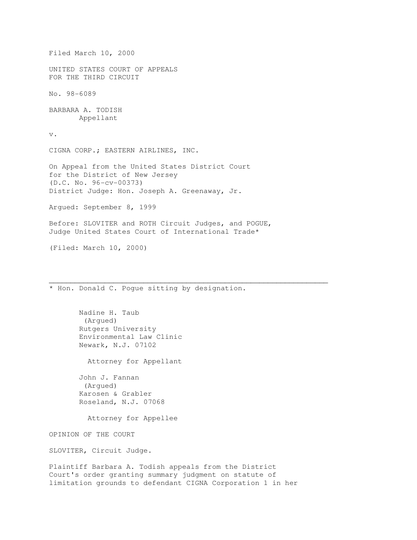Filed March 10, 2000 UNITED STATES COURT OF APPEALS FOR THE THIRD CIRCUIT No. 98-6089 BARBARA A. TODISH Appellant v. CIGNA CORP.; EASTERN AIRLINES, INC. On Appeal from the United States District Court for the District of New Jersey (D.C. No. 96-cv-00373) District Judge: Hon. Joseph A. Greenaway, Jr. Argued: September 8, 1999 Before: SLOVITER and ROTH Circuit Judges, and POGUE, Judge United States Court of International Trade\* (Filed: March 10, 2000)  $\mathcal{L}_\mathcal{L}$  , and the contribution of the contribution of the contribution of the contribution of the contribution of the contribution of the contribution of the contribution of the contribution of the contribution of \* Hon. Donald C. Pogue sitting by designation. Nadine H. Taub (Argued) Rutgers University Environmental Law Clinic Newark, N.J. 07102 Attorney for Appellant John J. Fannan (Argued) Karosen & Grabler Roseland, N.J. 07068 Attorney for Appellee OPINION OF THE COURT

SLOVITER, Circuit Judge.

Plaintiff Barbara A. Todish appeals from the District Court's order granting summary judgment on statute of limitation grounds to defendant CIGNA Corporation 1 in her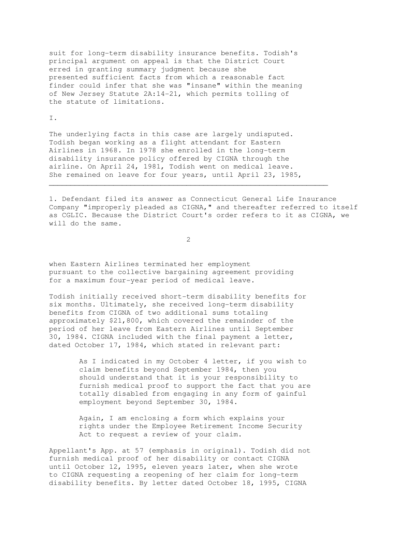suit for long-term disability insurance benefits. Todish's principal argument on appeal is that the District Court erred in granting summary judgment because she presented sufficient facts from which a reasonable fact finder could infer that she was "insane" within the meaning of New Jersey Statute 2A:14-21, which permits tolling of the statute of limitations.

## I.

The underlying facts in this case are largely undisputed. Todish began working as a flight attendant for Eastern Airlines in 1968. In 1978 she enrolled in the long-term disability insurance policy offered by CIGNA through the airline. On April 24, 1981, Todish went on medical leave. She remained on leave for four years, until April 23, 1985,

1. Defendant filed its answer as Connecticut General Life Insurance Company "improperly pleaded as CIGNA," and thereafter referred to itself as CGLIC. Because the District Court's order refers to it as CIGNA, we will do the same.

2

 $\mathcal{L}_\mathcal{L} = \{ \mathcal{L}_\mathcal{L} = \{ \mathcal{L}_\mathcal{L} = \{ \mathcal{L}_\mathcal{L} = \{ \mathcal{L}_\mathcal{L} = \{ \mathcal{L}_\mathcal{L} = \{ \mathcal{L}_\mathcal{L} = \{ \mathcal{L}_\mathcal{L} = \{ \mathcal{L}_\mathcal{L} = \{ \mathcal{L}_\mathcal{L} = \{ \mathcal{L}_\mathcal{L} = \{ \mathcal{L}_\mathcal{L} = \{ \mathcal{L}_\mathcal{L} = \{ \mathcal{L}_\mathcal{L} = \{ \mathcal{L}_\mathcal{$ 

when Eastern Airlines terminated her employment pursuant to the collective bargaining agreement providing for a maximum four-year period of medical leave.

Todish initially received short-term disability benefits for six months. Ultimately, she received long-term disability benefits from CIGNA of two additional sums totaling approximately \$21,800, which covered the remainder of the period of her leave from Eastern Airlines until September 30, 1984. CIGNA included with the final payment a letter, dated October 17, 1984, which stated in relevant part:

> As I indicated in my October 4 letter, if you wish to claim benefits beyond September 1984, then you should understand that it is your responsibility to furnish medical proof to support the fact that you are totally disabled from engaging in any form of gainful employment beyond September 30, 1984.

 Again, I am enclosing a form which explains your rights under the Employee Retirement Income Security Act to request a review of your claim.

Appellant's App. at 57 (emphasis in original). Todish did not furnish medical proof of her disability or contact CIGNA until October 12, 1995, eleven years later, when she wrote to CIGNA requesting a reopening of her claim for long-term disability benefits. By letter dated October 18, 1995, CIGNA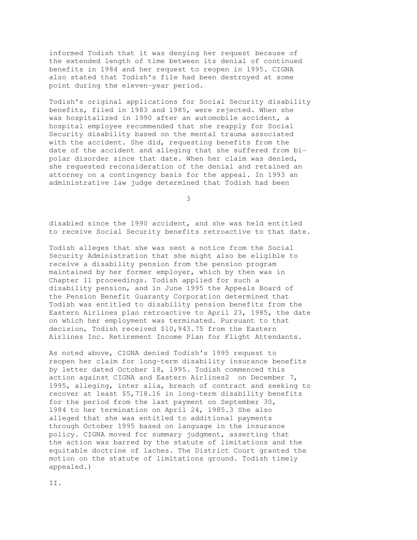informed Todish that it was denying her request because of the extended length of time between its denial of continued benefits in 1984 and her request to reopen in 1995. CIGNA also stated that Todish's file had been destroyed at some point during the eleven-year period.

Todish's original applications for Social Security disability benefits, filed in 1983 and 1985, were rejected. When she was hospitalized in 1990 after an automobile accident, a hospital employee recommended that she reapply for Social Security disability based on the mental trauma associated with the accident. She did, requesting benefits from the date of the accident and alleging that she suffered from bipolar disorder since that date. When her claim was denied, she requested reconsideration of the denial and retained an attorney on a contingency basis for the appeal. In 1993 an administrative law judge determined that Todish had been

3

disabled since the 1990 accident, and she was held entitled to receive Social Security benefits retroactive to that date.

Todish alleges that she was sent a notice from the Social Security Administration that she might also be eligible to receive a disability pension from the pension program maintained by her former employer, which by then was in Chapter 11 proceedings. Todish applied for such a disability pension, and in June 1995 the Appeals Board of the Pension Benefit Guaranty Corporation determined that Todish was entitled to disability pension benefits from the Eastern Airlines plan retroactive to April 23, 1985, the date on which her employment was terminated. Pursuant to that decision, Todish received \$10,943.75 from the Eastern Airlines Inc. Retirement Income Plan for Flight Attendants.

As noted above, CIGNA denied Todish's 1995 request to reopen her claim for long-term disability insurance benefits by letter dated October 18, 1995. Todish commenced this action against CIGNA and Eastern Airlines2 on December 7, 1995, alleging, inter alia, breach of contract and seeking to recover at least \$5,718.16 in long-term disability benefits for the period from the last payment on September 30, 1984 to her termination on April 24, 1985.3 She also alleged that she was entitled to additional payments through October 1995 based on language in the insurance policy. CIGNA moved for summary judgment, asserting that the action was barred by the statute of limitations and the equitable doctrine of laches. The District Court granted the motion on the statute of limitations ground. Todish timely appealed.)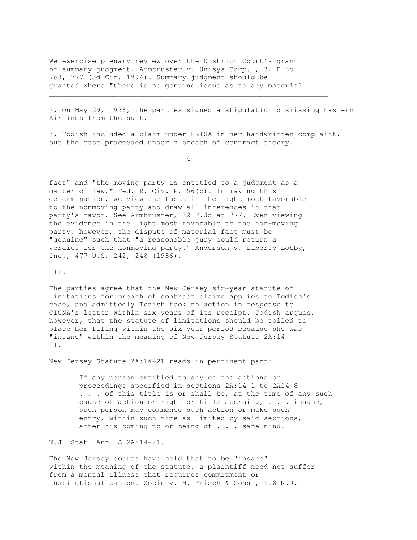We exercise plenary review over the District Court's grant of summary judgment. Armbruster v. Unisys Corp. , 32 F.3d 768, 777 (3d Cir. 1994). Summary judgment should be granted where "there is no genuine issue as to any material

2. On May 29, 1996, the parties signed a stipulation dismissing Eastern Airlines from the suit.

3. Todish included a claim under ERISA in her handwritten complaint, but the case proceeded under a breach of contract theory.

 $\mathcal{L}_\mathcal{L} = \{ \mathcal{L}_\mathcal{L} = \{ \mathcal{L}_\mathcal{L} = \{ \mathcal{L}_\mathcal{L} = \{ \mathcal{L}_\mathcal{L} = \{ \mathcal{L}_\mathcal{L} = \{ \mathcal{L}_\mathcal{L} = \{ \mathcal{L}_\mathcal{L} = \{ \mathcal{L}_\mathcal{L} = \{ \mathcal{L}_\mathcal{L} = \{ \mathcal{L}_\mathcal{L} = \{ \mathcal{L}_\mathcal{L} = \{ \mathcal{L}_\mathcal{L} = \{ \mathcal{L}_\mathcal{L} = \{ \mathcal{L}_\mathcal{$ 

4

fact" and "the moving party is entitled to a judgment as a matter of law." Fed. R. Civ. P. 56(c). In making this determination, we view the facts in the light most favorable to the nonmoving party and draw all inferences in that party's favor. See Armbruster, 32 F.3d at 777. Even viewing the evidence in the light most favorable to the non-moving party, however, the dispute of material fact must be "genuine" such that "a reasonable jury could return a verdict for the nonmoving party." Anderson v. Liberty Lobby, Inc., 477 U.S. 242, 248 (1986).

## III.

The parties agree that the New Jersey six-year statute of limitations for breach of contract claims applies to Todish's case, and admittedly Todish took no action in response to CIGNA's letter within six years of its receipt. Todish argues, however, that the statute of limitations should be tolled to place her filing within the six-year period because she was "insane" within the meaning of New Jersey Statute 2A:14- 21.

New Jersey Statute 2A:14-21 reads in pertinent part:

 If any person entitled to any of the actions or proceedings specified in sections 2A:14-1 to 2A14-8 . . . of this title is or shall be, at the time of any such cause of action or right or title accruing, . . . insane, such person may commence such action or make such entry, within such time as limited by said sections, after his coming to or being of . . . sane mind.

N.J. Stat. Ann. S 2A:14-21.

The New Jersey courts have held that to be "insane" within the meaning of the statute, a plaintiff need not suffer from a mental illness that requires commitment or institutionalization. Sobin v. M. Frisch & Sons , 108 N.J.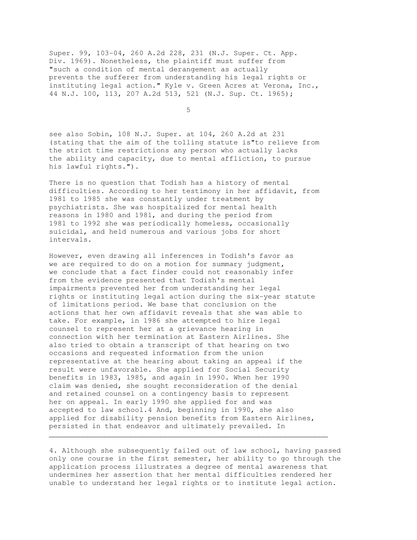Super. 99, 103-04, 260 A.2d 228, 231 (N.J. Super. Ct. App. Div. 1969). Nonetheless, the plaintiff must suffer from "such a condition of mental derangement as actually prevents the sufferer from understanding his legal rights or instituting legal action." Kyle v. Green Acres at Verona, Inc., 44 N.J. 100, 113, 207 A.2d 513, 521 (N.J. Sup. Ct. 1965);

 $\sim$  5  $\sim$  5  $\sim$  5  $\sim$  5  $\sim$  5  $\sim$  5  $\sim$  5  $\sim$  5  $\sim$  5  $\sim$  5  $\sim$  5  $\sim$  5  $\sim$  5  $\sim$  5  $\sim$  5  $\sim$  5  $\sim$  5  $\sim$  5  $\sim$  5  $\sim$  5  $\sim$  5  $\sim$  5  $\sim$  5  $\sim$  5  $\sim$  5  $\sim$  5  $\sim$  5  $\sim$  5  $\sim$  5  $\sim$  5  $\sim$  5  $\sim$ 

see also Sobin, 108 N.J. Super. at 104, 260 A.2d at 231 (stating that the aim of the tolling statute is"to relieve from the strict time restrictions any person who actually lacks the ability and capacity, due to mental affliction, to pursue his lawful rights.").

There is no question that Todish has a history of mental difficulties. According to her testimony in her affidavit, from 1981 to 1985 she was constantly under treatment by psychiatrists. She was hospitalized for mental health reasons in 1980 and 1981, and during the period from 1981 to 1992 she was periodically homeless, occasionally suicidal, and held numerous and various jobs for short intervals.

However, even drawing all inferences in Todish's favor as we are required to do on a motion for summary judgment, we conclude that a fact finder could not reasonably infer from the evidence presented that Todish's mental impairments prevented her from understanding her legal rights or instituting legal action during the six-year statute of limitations period. We base that conclusion on the actions that her own affidavit reveals that she was able to take. For example, in 1986 she attempted to hire legal counsel to represent her at a grievance hearing in connection with her termination at Eastern Airlines. She also tried to obtain a transcript of that hearing on two occasions and requested information from the union representative at the hearing about taking an appeal if the result were unfavorable. She applied for Social Security benefits in 1983, 1985, and again in 1990. When her 1990 claim was denied, she sought reconsideration of the denial and retained counsel on a contingency basis to represent her on appeal. In early 1990 she applied for and was accepted to law school.4 And, beginning in 1990, she also applied for disability pension benefits from Eastern Airlines, persisted in that endeavor and ultimately prevailed. In \_\_\_\_\_\_\_\_\_\_\_\_\_\_\_\_\_\_\_\_\_\_\_\_\_\_\_\_\_\_\_\_\_\_\_\_\_\_\_\_\_\_\_\_\_\_\_\_\_\_\_\_\_\_\_\_\_\_\_\_\_\_\_\_\_

4. Although she subsequently failed out of law school, having passed only one course in the first semester, her ability to go through the application process illustrates a degree of mental awareness that undermines her assertion that her mental difficulties rendered her unable to understand her legal rights or to institute legal action.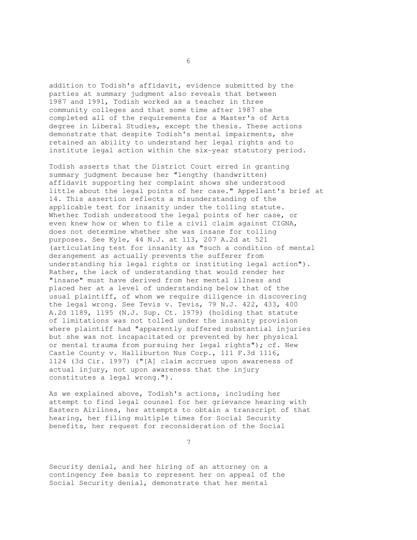addition to Todish's affidavit, evidence submitted by the parties at summary judgment also reveals that between 1987 and 1991, Todish worked as a teacher in three community colleges and that some time after 1987 she completed all of the requirements for a Master's of Arts degree in Liberal Studies, except the thesis. These actions demonstrate that despite Todish's mental impairments, she retained an ability to understand her legal rights and to institute legal action within the six-year statutory period.

Todish asserts that the District Court erred in granting summary judgment because her "lengthy (handwritten) affidavit supporting her complaint shows she understood little about the legal points of her case." Appellant's brief at 14. This assertion reflects a misunderstanding of the applicable test for insanity under the tolling statute. Whether Todish understood the legal points of her case, or even knew how or when to file a civil claim against CIGNA, does not determine whether she was insane for tolling purposes. See Kyle, 44 N.J. at 113, 207 A.2d at 521 (articulating test for insanity as "such a condition of mental derangement as actually prevents the sufferer from understanding his legal rights or instituting legal action"). Rather, the lack of understanding that would render her "insane" must have derived from her mental illness and placed her at a level of understanding below that of the usual plaintiff, of whom we require diligence in discovering the legal wrong. See Tevis v. Tevis, 79 N.J. 422, 433, 400 A.2d 1189, 1195 (N.J. Sup. Ct. 1979) (holding that statute of limitations was not tolled under the insanity provision where plaintiff had "apparently suffered substantial injuries but she was not incapacitated or prevented by her physical or mental trauma from pursuing her legal rights"); cf. New Castle County v. Halliburton Nus Corp., 111 F.3d 1116, 1124 (3d Cir. 1997) ("[A] claim accrues upon awareness of actual injury, not upon awareness that the injury constitutes a legal wrong.").

As we explained above, Todish's actions, including her attempt to find legal counsel for her grievance hearing with Eastern Airlines, her attempts to obtain a transcript of that hearing, her filing multiple times for Social Security benefits, her request for reconsideration of the Social

7

Security denial, and her hiring of an attorney on a contingency fee basis to represent her on appeal of the Social Security denial, demonstrate that her mental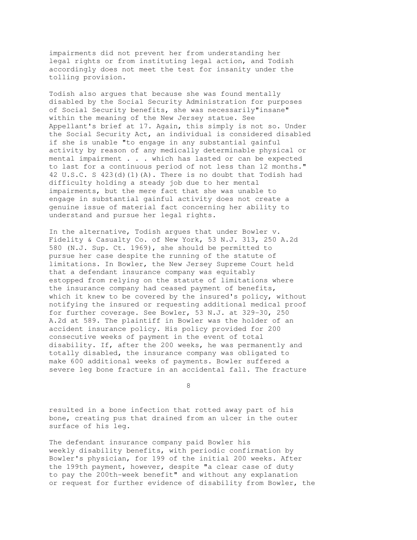impairments did not prevent her from understanding her legal rights or from instituting legal action, and Todish accordingly does not meet the test for insanity under the tolling provision.

Todish also argues that because she was found mentally disabled by the Social Security Administration for purposes of Social Security benefits, she was necessarily"insane" within the meaning of the New Jersey statue. See Appellant's brief at 17. Again, this simply is not so. Under the Social Security Act, an individual is considered disabled if she is unable "to engage in any substantial gainful activity by reason of any medically determinable physical or mental impairment . . . which has lasted or can be expected to last for a continuous period of not less than 12 months." 42 U.S.C. S 423(d)(1)(A). There is no doubt that Todish had difficulty holding a steady job due to her mental impairments, but the mere fact that she was unable to engage in substantial gainful activity does not create a genuine issue of material fact concerning her ability to understand and pursue her legal rights.

In the alternative, Todish argues that under Bowler v. Fidelity & Casualty Co. of New York, 53 N.J. 313, 250 A.2d 580 (N.J. Sup. Ct. 1969), she should be permitted to pursue her case despite the running of the statute of limitations. In Bowler, the New Jersey Supreme Court held that a defendant insurance company was equitably estopped from relying on the statute of limitations where the insurance company had ceased payment of benefits, which it knew to be covered by the insured's policy, without notifying the insured or requesting additional medical proof for further coverage. See Bowler, 53 N.J. at 329-30, 250 A.2d at 589. The plaintiff in Bowler was the holder of an accident insurance policy. His policy provided for 200 consecutive weeks of payment in the event of total disability. If, after the 200 weeks, he was permanently and totally disabled, the insurance company was obligated to make 600 additional weeks of payments. Bowler suffered a severe leg bone fracture in an accidental fall. The fracture

8

resulted in a bone infection that rotted away part of his bone, creating pus that drained from an ulcer in the outer surface of his leg.

The defendant insurance company paid Bowler his weekly disability benefits, with periodic confirmation by Bowler's physician, for 199 of the initial 200 weeks. After the 199th payment, however, despite "a clear case of duty to pay the 200th-week benefit" and without any explanation or request for further evidence of disability from Bowler, the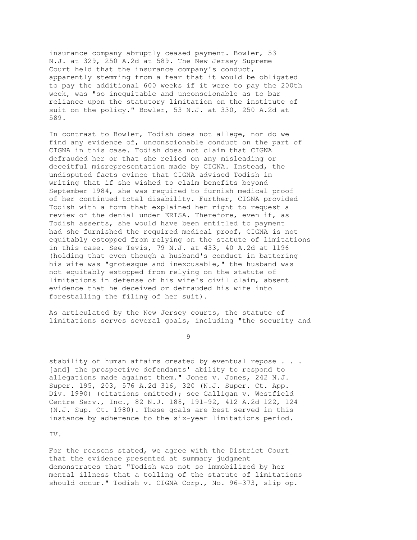insurance company abruptly ceased payment. Bowler, 53 N.J. at 329, 250 A.2d at 589. The New Jersey Supreme Court held that the insurance company's conduct, apparently stemming from a fear that it would be obligated to pay the additional 600 weeks if it were to pay the 200th week, was "so inequitable and unconscionable as to bar reliance upon the statutory limitation on the institute of suit on the policy." Bowler, 53 N.J. at 330, 250 A.2d at 589.

In contrast to Bowler, Todish does not allege, nor do we find any evidence of, unconscionable conduct on the part of CIGNA in this case. Todish does not claim that CIGNA defrauded her or that she relied on any misleading or deceitful misrepresentation made by CIGNA. Instead, the undisputed facts evince that CIGNA advised Todish in writing that if she wished to claim benefits beyond September 1984, she was required to furnish medical proof of her continued total disability. Further, CIGNA provided Todish with a form that explained her right to request a review of the denial under ERISA. Therefore, even if, as Todish asserts, she would have been entitled to payment had she furnished the required medical proof, CIGNA is not equitably estopped from relying on the statute of limitations in this case. See Tevis, 79 N.J. at 433, 40 A.2d at 1196 (holding that even though a husband's conduct in battering his wife was "grotesque and inexcusable," the husband was not equitably estopped from relying on the statute of limitations in defense of his wife's civil claim, absent evidence that he deceived or defrauded his wife into forestalling the filing of her suit).

As articulated by the New Jersey courts, the statute of limitations serves several goals, including "the security and

9

stability of human affairs created by eventual repose . . . [and] the prospective defendants' ability to respond to allegations made against them." Jones v. Jones, 242 N.J. Super. 195, 203, 576 A.2d 316, 320 (N.J. Super. Ct. App. Div. 1990) (citations omitted); see Galligan v. Westfield Centre Serv., Inc., 82 N.J. 188, 191-92, 412 A.2d 122, 124 (N.J. Sup. Ct. 1980). These goals are best served in this instance by adherence to the six-year limitations period.

IV.

For the reasons stated, we agree with the District Court that the evidence presented at summary judgment demonstrates that "Todish was not so immobilized by her mental illness that a tolling of the statute of limitations should occur." Todish v. CIGNA Corp., No. 96-373, slip op.